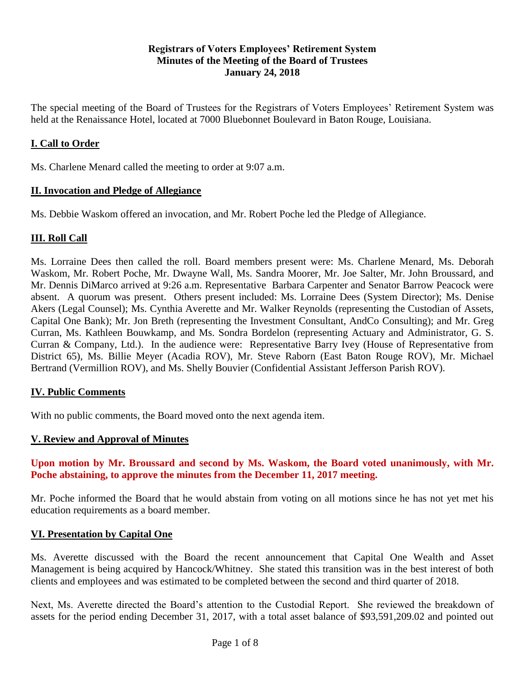#### **Registrars of Voters Employees' Retirement System Minutes of the Meeting of the Board of Trustees January 24, 2018**

The special meeting of the Board of Trustees for the Registrars of Voters Employees' Retirement System was held at the Renaissance Hotel, located at 7000 Bluebonnet Boulevard in Baton Rouge, Louisiana.

# **I. Call to Order**

Ms. Charlene Menard called the meeting to order at 9:07 a.m.

#### **II. Invocation and Pledge of Allegiance**

Ms. Debbie Waskom offered an invocation, and Mr. Robert Poche led the Pledge of Allegiance.

# **III. Roll Call**

Ms. Lorraine Dees then called the roll. Board members present were: Ms. Charlene Menard, Ms. Deborah Waskom, Mr. Robert Poche, Mr. Dwayne Wall, Ms. Sandra Moorer, Mr. Joe Salter, Mr. John Broussard, and Mr. Dennis DiMarco arrived at 9:26 a.m. Representative Barbara Carpenter and Senator Barrow Peacock were absent. A quorum was present. Others present included: Ms. Lorraine Dees (System Director); Ms. Denise Akers (Legal Counsel); Ms. Cynthia Averette and Mr. Walker Reynolds (representing the Custodian of Assets, Capital One Bank); Mr. Jon Breth (representing the Investment Consultant, AndCo Consulting); and Mr. Greg Curran, Ms. Kathleen Bouwkamp, and Ms. Sondra Bordelon (representing Actuary and Administrator, G. S. Curran & Company, Ltd.). In the audience were: Representative Barry Ivey (House of Representative from District 65), Ms. Billie Meyer (Acadia ROV), Mr. Steve Raborn (East Baton Rouge ROV), Mr. Michael Bertrand (Vermillion ROV), and Ms. Shelly Bouvier (Confidential Assistant Jefferson Parish ROV).

# **IV. Public Comments**

With no public comments, the Board moved onto the next agenda item.

#### **V. Review and Approval of Minutes**

**Upon motion by Mr. Broussard and second by Ms. Waskom, the Board voted unanimously, with Mr. Poche abstaining, to approve the minutes from the December 11, 2017 meeting.** 

Mr. Poche informed the Board that he would abstain from voting on all motions since he has not yet met his education requirements as a board member.

#### **VI. Presentation by Capital One**

Ms. Averette discussed with the Board the recent announcement that Capital One Wealth and Asset Management is being acquired by Hancock/Whitney. She stated this transition was in the best interest of both clients and employees and was estimated to be completed between the second and third quarter of 2018.

Next, Ms. Averette directed the Board's attention to the Custodial Report. She reviewed the breakdown of assets for the period ending December 31, 2017, with a total asset balance of \$93,591,209.02 and pointed out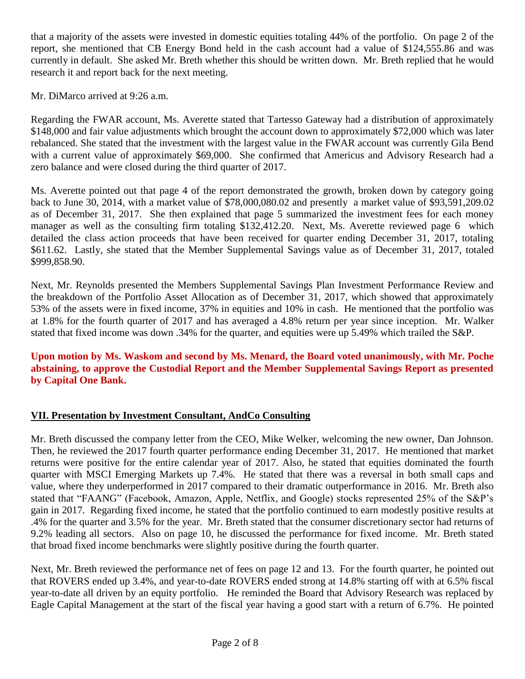that a majority of the assets were invested in domestic equities totaling 44% of the portfolio. On page 2 of the report, she mentioned that CB Energy Bond held in the cash account had a value of \$124,555.86 and was currently in default. She asked Mr. Breth whether this should be written down. Mr. Breth replied that he would research it and report back for the next meeting.

Mr. DiMarco arrived at 9:26 a.m.

Regarding the FWAR account, Ms. Averette stated that Tartesso Gateway had a distribution of approximately \$148,000 and fair value adjustments which brought the account down to approximately \$72,000 which was later rebalanced. She stated that the investment with the largest value in the FWAR account was currently Gila Bend with a current value of approximately \$69,000. She confirmed that Americus and Advisory Research had a zero balance and were closed during the third quarter of 2017.

Ms. Averette pointed out that page 4 of the report demonstrated the growth, broken down by category going back to June 30, 2014, with a market value of \$78,000,080.02 and presently a market value of \$93,591,209.02 as of December 31, 2017. She then explained that page 5 summarized the investment fees for each money manager as well as the consulting firm totaling \$132,412.20. Next, Ms. Averette reviewed page 6 which detailed the class action proceeds that have been received for quarter ending December 31, 2017, totaling \$611.62. Lastly, she stated that the Member Supplemental Savings value as of December 31, 2017, totaled \$999,858.90.

Next, Mr. Reynolds presented the Members Supplemental Savings Plan Investment Performance Review and the breakdown of the Portfolio Asset Allocation as of December 31, 2017, which showed that approximately 53% of the assets were in fixed income, 37% in equities and 10% in cash. He mentioned that the portfolio was at 1.8% for the fourth quarter of 2017 and has averaged a 4.8% return per year since inception. Mr. Walker stated that fixed income was down .34% for the quarter, and equities were up 5.49% which trailed the S&P.

# **Upon motion by Ms. Waskom and second by Ms. Menard, the Board voted unanimously, with Mr. Poche abstaining, to approve the Custodial Report and the Member Supplemental Savings Report as presented by Capital One Bank.**

# **VII. Presentation by Investment Consultant, AndCo Consulting**

Mr. Breth discussed the company letter from the CEO, Mike Welker, welcoming the new owner, Dan Johnson. Then, he reviewed the 2017 fourth quarter performance ending December 31, 2017. He mentioned that market returns were positive for the entire calendar year of 2017. Also, he stated that equities dominated the fourth quarter with MSCI Emerging Markets up 7.4%. He stated that there was a reversal in both small caps and value, where they underperformed in 2017 compared to their dramatic outperformance in 2016. Mr. Breth also stated that "FAANG" (Facebook, Amazon, Apple, Netflix, and Google) stocks represented 25% of the S&P's gain in 2017. Regarding fixed income, he stated that the portfolio continued to earn modestly positive results at .4% for the quarter and 3.5% for the year. Mr. Breth stated that the consumer discretionary sector had returns of 9.2% leading all sectors. Also on page 10, he discussed the performance for fixed income. Mr. Breth stated that broad fixed income benchmarks were slightly positive during the fourth quarter.

Next, Mr. Breth reviewed the performance net of fees on page 12 and 13. For the fourth quarter, he pointed out that ROVERS ended up 3.4%, and year-to-date ROVERS ended strong at 14.8% starting off with at 6.5% fiscal year-to-date all driven by an equity portfolio. He reminded the Board that Advisory Research was replaced by Eagle Capital Management at the start of the fiscal year having a good start with a return of 6.7%. He pointed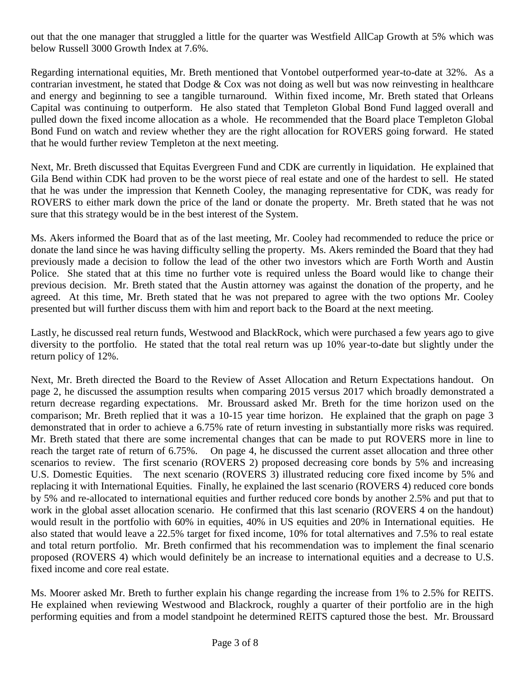out that the one manager that struggled a little for the quarter was Westfield AllCap Growth at 5% which was below Russell 3000 Growth Index at 7.6%.

Regarding international equities, Mr. Breth mentioned that Vontobel outperformed year-to-date at 32%. As a contrarian investment, he stated that Dodge & Cox was not doing as well but was now reinvesting in healthcare and energy and beginning to see a tangible turnaround. Within fixed income, Mr. Breth stated that Orleans Capital was continuing to outperform. He also stated that Templeton Global Bond Fund lagged overall and pulled down the fixed income allocation as a whole. He recommended that the Board place Templeton Global Bond Fund on watch and review whether they are the right allocation for ROVERS going forward. He stated that he would further review Templeton at the next meeting.

Next, Mr. Breth discussed that Equitas Evergreen Fund and CDK are currently in liquidation. He explained that Gila Bend within CDK had proven to be the worst piece of real estate and one of the hardest to sell. He stated that he was under the impression that Kenneth Cooley, the managing representative for CDK, was ready for ROVERS to either mark down the price of the land or donate the property. Mr. Breth stated that he was not sure that this strategy would be in the best interest of the System.

Ms. Akers informed the Board that as of the last meeting, Mr. Cooley had recommended to reduce the price or donate the land since he was having difficulty selling the property. Ms. Akers reminded the Board that they had previously made a decision to follow the lead of the other two investors which are Forth Worth and Austin Police. She stated that at this time no further vote is required unless the Board would like to change their previous decision. Mr. Breth stated that the Austin attorney was against the donation of the property, and he agreed. At this time, Mr. Breth stated that he was not prepared to agree with the two options Mr. Cooley presented but will further discuss them with him and report back to the Board at the next meeting.

Lastly, he discussed real return funds, Westwood and BlackRock, which were purchased a few years ago to give diversity to the portfolio. He stated that the total real return was up 10% year-to-date but slightly under the return policy of 12%.

Next, Mr. Breth directed the Board to the Review of Asset Allocation and Return Expectations handout. On page 2, he discussed the assumption results when comparing 2015 versus 2017 which broadly demonstrated a return decrease regarding expectations. Mr. Broussard asked Mr. Breth for the time horizon used on the comparison; Mr. Breth replied that it was a 10-15 year time horizon. He explained that the graph on page 3 demonstrated that in order to achieve a 6.75% rate of return investing in substantially more risks was required. Mr. Breth stated that there are some incremental changes that can be made to put ROVERS more in line to reach the target rate of return of 6.75%. On page 4, he discussed the current asset allocation and three other scenarios to review. The first scenario (ROVERS 2) proposed decreasing core bonds by 5% and increasing U.S. Domestic Equities. The next scenario (ROVERS 3) illustrated reducing core fixed income by 5% and replacing it with International Equities. Finally, he explained the last scenario (ROVERS 4) reduced core bonds by 5% and re-allocated to international equities and further reduced core bonds by another 2.5% and put that to work in the global asset allocation scenario. He confirmed that this last scenario (ROVERS 4 on the handout) would result in the portfolio with 60% in equities, 40% in US equities and 20% in International equities. He also stated that would leave a 22.5% target for fixed income, 10% for total alternatives and 7.5% to real estate and total return portfolio. Mr. Breth confirmed that his recommendation was to implement the final scenario proposed (ROVERS 4) which would definitely be an increase to international equities and a decrease to U.S. fixed income and core real estate.

Ms. Moorer asked Mr. Breth to further explain his change regarding the increase from 1% to 2.5% for REITS. He explained when reviewing Westwood and Blackrock, roughly a quarter of their portfolio are in the high performing equities and from a model standpoint he determined REITS captured those the best. Mr. Broussard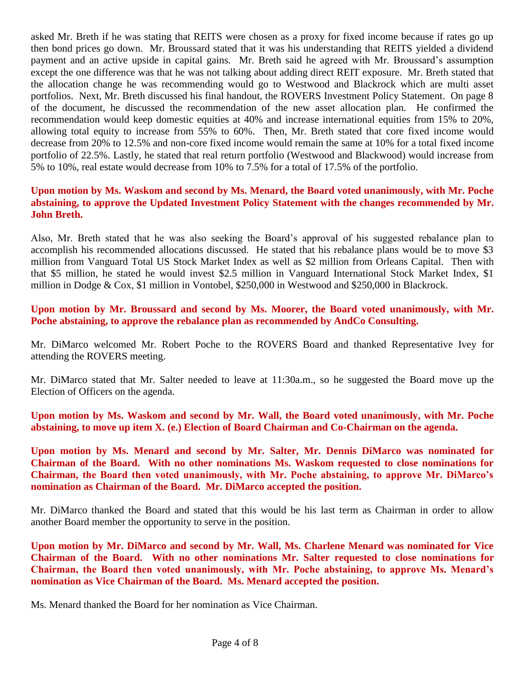asked Mr. Breth if he was stating that REITS were chosen as a proxy for fixed income because if rates go up then bond prices go down. Mr. Broussard stated that it was his understanding that REITS yielded a dividend payment and an active upside in capital gains. Mr. Breth said he agreed with Mr. Broussard's assumption except the one difference was that he was not talking about adding direct REIT exposure. Mr. Breth stated that the allocation change he was recommending would go to Westwood and Blackrock which are multi asset portfolios. Next, Mr. Breth discussed his final handout, the ROVERS Investment Policy Statement. On page 8 of the document, he discussed the recommendation of the new asset allocation plan. He confirmed the recommendation would keep domestic equities at 40% and increase international equities from 15% to 20%, allowing total equity to increase from 55% to 60%. Then, Mr. Breth stated that core fixed income would decrease from 20% to 12.5% and non-core fixed income would remain the same at 10% for a total fixed income portfolio of 22.5%. Lastly, he stated that real return portfolio (Westwood and Blackwood) would increase from 5% to 10%, real estate would decrease from 10% to 7.5% for a total of 17.5% of the portfolio.

#### **Upon motion by Ms. Waskom and second by Ms. Menard, the Board voted unanimously, with Mr. Poche abstaining, to approve the Updated Investment Policy Statement with the changes recommended by Mr. John Breth.**

Also, Mr. Breth stated that he was also seeking the Board's approval of his suggested rebalance plan to accomplish his recommended allocations discussed. He stated that his rebalance plans would be to move \$3 million from Vanguard Total US Stock Market Index as well as \$2 million from Orleans Capital. Then with that \$5 million, he stated he would invest \$2.5 million in Vanguard International Stock Market Index, \$1 million in Dodge & Cox, \$1 million in Vontobel, \$250,000 in Westwood and \$250,000 in Blackrock.

**Upon motion by Mr. Broussard and second by Ms. Moorer, the Board voted unanimously, with Mr. Poche abstaining, to approve the rebalance plan as recommended by AndCo Consulting.**

Mr. DiMarco welcomed Mr. Robert Poche to the ROVERS Board and thanked Representative Ivey for attending the ROVERS meeting.

Mr. DiMarco stated that Mr. Salter needed to leave at 11:30a.m., so he suggested the Board move up the Election of Officers on the agenda.

**Upon motion by Ms. Waskom and second by Mr. Wall, the Board voted unanimously, with Mr. Poche abstaining, to move up item X. (e.) Election of Board Chairman and Co-Chairman on the agenda.** 

**Upon motion by Ms. Menard and second by Mr. Salter, Mr. Dennis DiMarco was nominated for Chairman of the Board. With no other nominations Ms. Waskom requested to close nominations for Chairman, the Board then voted unanimously, with Mr. Poche abstaining, to approve Mr. DiMarco's nomination as Chairman of the Board. Mr. DiMarco accepted the position.**

Mr. DiMarco thanked the Board and stated that this would be his last term as Chairman in order to allow another Board member the opportunity to serve in the position.

**Upon motion by Mr. DiMarco and second by Mr. Wall, Ms. Charlene Menard was nominated for Vice Chairman of the Board. With no other nominations Mr. Salter requested to close nominations for Chairman, the Board then voted unanimously, with Mr. Poche abstaining, to approve Ms. Menard's nomination as Vice Chairman of the Board. Ms. Menard accepted the position.**

Ms. Menard thanked the Board for her nomination as Vice Chairman.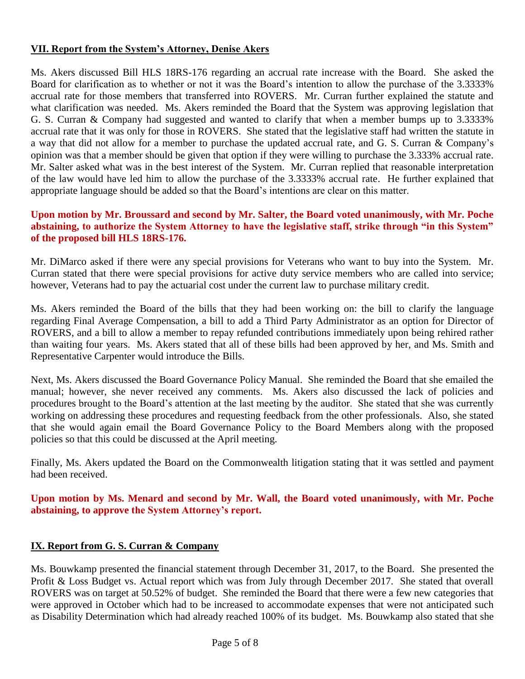# **VII. Report from the System's Attorney, Denise Akers**

Ms. Akers discussed Bill HLS 18RS-176 regarding an accrual rate increase with the Board. She asked the Board for clarification as to whether or not it was the Board's intention to allow the purchase of the 3.3333% accrual rate for those members that transferred into ROVERS. Mr. Curran further explained the statute and what clarification was needed. Ms. Akers reminded the Board that the System was approving legislation that G. S. Curran & Company had suggested and wanted to clarify that when a member bumps up to 3.3333% accrual rate that it was only for those in ROVERS. She stated that the legislative staff had written the statute in a way that did not allow for a member to purchase the updated accrual rate, and G. S. Curran & Company's opinion was that a member should be given that option if they were willing to purchase the 3.333% accrual rate. Mr. Salter asked what was in the best interest of the System. Mr. Curran replied that reasonable interpretation of the law would have led him to allow the purchase of the 3.3333% accrual rate. He further explained that appropriate language should be added so that the Board's intentions are clear on this matter.

# **Upon motion by Mr. Broussard and second by Mr. Salter, the Board voted unanimously, with Mr. Poche abstaining, to authorize the System Attorney to have the legislative staff, strike through "in this System" of the proposed bill HLS 18RS-176.**

Mr. DiMarco asked if there were any special provisions for Veterans who want to buy into the System. Mr. Curran stated that there were special provisions for active duty service members who are called into service; however, Veterans had to pay the actuarial cost under the current law to purchase military credit.

Ms. Akers reminded the Board of the bills that they had been working on: the bill to clarify the language regarding Final Average Compensation, a bill to add a Third Party Administrator as an option for Director of ROVERS, and a bill to allow a member to repay refunded contributions immediately upon being rehired rather than waiting four years. Ms. Akers stated that all of these bills had been approved by her, and Ms. Smith and Representative Carpenter would introduce the Bills.

Next, Ms. Akers discussed the Board Governance Policy Manual. She reminded the Board that she emailed the manual; however, she never received any comments. Ms. Akers also discussed the lack of policies and procedures brought to the Board's attention at the last meeting by the auditor. She stated that she was currently working on addressing these procedures and requesting feedback from the other professionals. Also, she stated that she would again email the Board Governance Policy to the Board Members along with the proposed policies so that this could be discussed at the April meeting.

Finally, Ms. Akers updated the Board on the Commonwealth litigation stating that it was settled and payment had been received.

# **Upon motion by Ms. Menard and second by Mr. Wall, the Board voted unanimously, with Mr. Poche abstaining, to approve the System Attorney's report.**

# **IX. Report from G. S. Curran & Company**

Ms. Bouwkamp presented the financial statement through December 31, 2017, to the Board. She presented the Profit & Loss Budget vs. Actual report which was from July through December 2017. She stated that overall ROVERS was on target at 50.52% of budget. She reminded the Board that there were a few new categories that were approved in October which had to be increased to accommodate expenses that were not anticipated such as Disability Determination which had already reached 100% of its budget. Ms. Bouwkamp also stated that she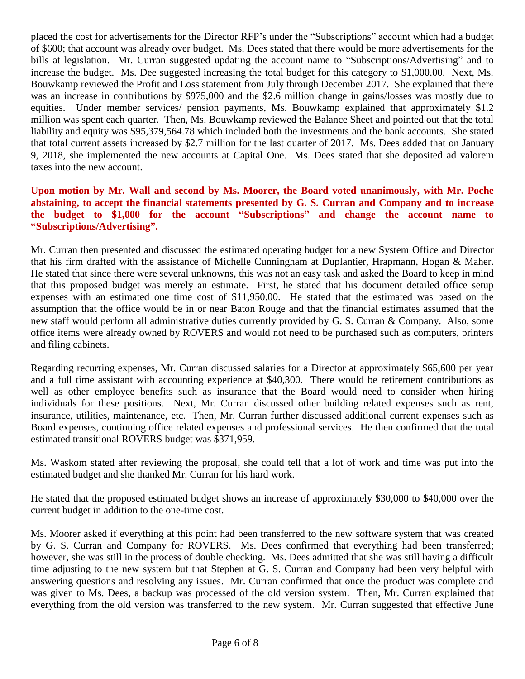placed the cost for advertisements for the Director RFP's under the "Subscriptions" account which had a budget of \$600; that account was already over budget. Ms. Dees stated that there would be more advertisements for the bills at legislation. Mr. Curran suggested updating the account name to "Subscriptions/Advertising" and to increase the budget. Ms. Dee suggested increasing the total budget for this category to \$1,000.00. Next, Ms. Bouwkamp reviewed the Profit and Loss statement from July through December 2017. She explained that there was an increase in contributions by \$975,000 and the \$2.6 million change in gains/losses was mostly due to equities. Under member services/ pension payments, Ms. Bouwkamp explained that approximately \$1.2 million was spent each quarter. Then, Ms. Bouwkamp reviewed the Balance Sheet and pointed out that the total liability and equity was \$95,379,564.78 which included both the investments and the bank accounts. She stated that total current assets increased by \$2.7 million for the last quarter of 2017. Ms. Dees added that on January 9, 2018, she implemented the new accounts at Capital One. Ms. Dees stated that she deposited ad valorem taxes into the new account.

# **Upon motion by Mr. Wall and second by Ms. Moorer, the Board voted unanimously, with Mr. Poche abstaining, to accept the financial statements presented by G. S. Curran and Company and to increase the budget to \$1,000 for the account "Subscriptions" and change the account name to "Subscriptions/Advertising".**

Mr. Curran then presented and discussed the estimated operating budget for a new System Office and Director that his firm drafted with the assistance of Michelle Cunningham at Duplantier, Hrapmann, Hogan & Maher. He stated that since there were several unknowns, this was not an easy task and asked the Board to keep in mind that this proposed budget was merely an estimate. First, he stated that his document detailed office setup expenses with an estimated one time cost of \$11,950.00. He stated that the estimated was based on the assumption that the office would be in or near Baton Rouge and that the financial estimates assumed that the new staff would perform all administrative duties currently provided by G. S. Curran & Company. Also, some office items were already owned by ROVERS and would not need to be purchased such as computers, printers and filing cabinets.

Regarding recurring expenses, Mr. Curran discussed salaries for a Director at approximately \$65,600 per year and a full time assistant with accounting experience at \$40,300. There would be retirement contributions as well as other employee benefits such as insurance that the Board would need to consider when hiring individuals for these positions. Next, Mr. Curran discussed other building related expenses such as rent, insurance, utilities, maintenance, etc. Then, Mr. Curran further discussed additional current expenses such as Board expenses, continuing office related expenses and professional services. He then confirmed that the total estimated transitional ROVERS budget was \$371,959.

Ms. Waskom stated after reviewing the proposal, she could tell that a lot of work and time was put into the estimated budget and she thanked Mr. Curran for his hard work.

He stated that the proposed estimated budget shows an increase of approximately \$30,000 to \$40,000 over the current budget in addition to the one-time cost.

Ms. Moorer asked if everything at this point had been transferred to the new software system that was created by G. S. Curran and Company for ROVERS. Ms. Dees confirmed that everything had been transferred; however, she was still in the process of double checking. Ms. Dees admitted that she was still having a difficult time adjusting to the new system but that Stephen at G. S. Curran and Company had been very helpful with answering questions and resolving any issues. Mr. Curran confirmed that once the product was complete and was given to Ms. Dees, a backup was processed of the old version system. Then, Mr. Curran explained that everything from the old version was transferred to the new system. Mr. Curran suggested that effective June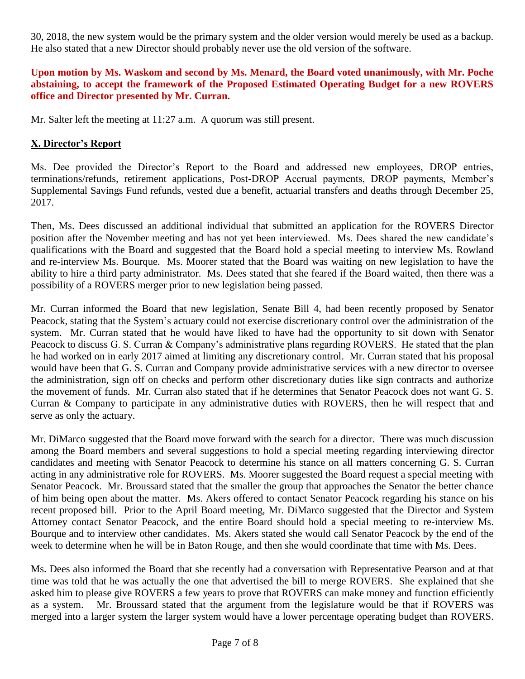30, 2018, the new system would be the primary system and the older version would merely be used as a backup. He also stated that a new Director should probably never use the old version of the software.

# **Upon motion by Ms. Waskom and second by Ms. Menard, the Board voted unanimously, with Mr. Poche abstaining, to accept the framework of the Proposed Estimated Operating Budget for a new ROVERS office and Director presented by Mr. Curran.**

Mr. Salter left the meeting at 11:27 a.m. A quorum was still present.

# **X. Director's Report**

Ms. Dee provided the Director's Report to the Board and addressed new employees, DROP entries, terminations/refunds, retirement applications, Post-DROP Accrual payments, DROP payments, Member's Supplemental Savings Fund refunds, vested due a benefit, actuarial transfers and deaths through December 25, 2017.

Then, Ms. Dees discussed an additional individual that submitted an application for the ROVERS Director position after the November meeting and has not yet been interviewed. Ms. Dees shared the new candidate's qualifications with the Board and suggested that the Board hold a special meeting to interview Ms. Rowland and re-interview Ms. Bourque. Ms. Moorer stated that the Board was waiting on new legislation to have the ability to hire a third party administrator. Ms. Dees stated that she feared if the Board waited, then there was a possibility of a ROVERS merger prior to new legislation being passed.

Mr. Curran informed the Board that new legislation, Senate Bill 4, had been recently proposed by Senator Peacock, stating that the System's actuary could not exercise discretionary control over the administration of the system. Mr. Curran stated that he would have liked to have had the opportunity to sit down with Senator Peacock to discuss G. S. Curran & Company's administrative plans regarding ROVERS. He stated that the plan he had worked on in early 2017 aimed at limiting any discretionary control. Mr. Curran stated that his proposal would have been that G. S. Curran and Company provide administrative services with a new director to oversee the administration, sign off on checks and perform other discretionary duties like sign contracts and authorize the movement of funds. Mr. Curran also stated that if he determines that Senator Peacock does not want G. S. Curran & Company to participate in any administrative duties with ROVERS, then he will respect that and serve as only the actuary.

Mr. DiMarco suggested that the Board move forward with the search for a director. There was much discussion among the Board members and several suggestions to hold a special meeting regarding interviewing director candidates and meeting with Senator Peacock to determine his stance on all matters concerning G. S. Curran acting in any administrative role for ROVERS. Ms. Moorer suggested the Board request a special meeting with Senator Peacock. Mr. Broussard stated that the smaller the group that approaches the Senator the better chance of him being open about the matter. Ms. Akers offered to contact Senator Peacock regarding his stance on his recent proposed bill. Prior to the April Board meeting, Mr. DiMarco suggested that the Director and System Attorney contact Senator Peacock, and the entire Board should hold a special meeting to re-interview Ms. Bourque and to interview other candidates. Ms. Akers stated she would call Senator Peacock by the end of the week to determine when he will be in Baton Rouge, and then she would coordinate that time with Ms. Dees.

Ms. Dees also informed the Board that she recently had a conversation with Representative Pearson and at that time was told that he was actually the one that advertised the bill to merge ROVERS. She explained that she asked him to please give ROVERS a few years to prove that ROVERS can make money and function efficiently as a system. Mr. Broussard stated that the argument from the legislature would be that if ROVERS was merged into a larger system the larger system would have a lower percentage operating budget than ROVERS.